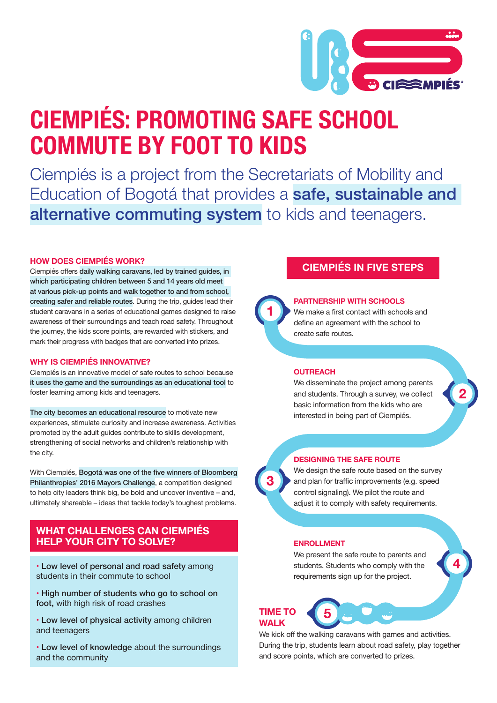

# **CIEMPIÉS: PROMOTING SAFE SCHOOL COMMUTE BY FOOT TO KIDS**

Ciempiés is a project from the Secretariats of Mobility and Education of Bogotá that provides a safe, sustainable and alternative commuting system to kids and teenagers.

#### **HOW DOES CIEMPIÉS WORK?**

Ciempiés offers daily walking caravans, led by trained guides, in which participating children between 5 and 14 years old meet at various pick-up points and walk together to and from school, creating safer and reliable routes. During the trip, guides lead their student caravans in a series of educational games designed to raise awareness of their surroundings and teach road safety. Throughout the journey, the kids score points, are rewarded with stickers, and mark their progress with badges that are converted into prizes.

#### **WHY IS CIEMPIÉS INNOVATIVE?**

Ciempiés is an innovative model of safe routes to school because it uses the game and the surroundings as an educational tool to foster learning among kids and teenagers.

The city becomes an educational resource to motivate new experiences, stimulate curiosity and increase awareness. Activities promoted by the adult guides contribute to skills development, strengthening of social networks and children's relationship with the city.

With Ciempiés, Bogotá was one of the five winners of Bloomberg Philanthropies' 2016 Mayors Challenge, a competition designed to help city leaders think big, be bold and uncover inventive – and, ultimately shareable – ideas that tackle today's toughest problems.

#### **WHAT CHALLENGES CAN CIEMPIÉS HELP YOUR CITY TO SOLVE?**

- Low level of personal and road safety among students in their commute to school
- High number of students who go to school on foot, with high risk of road crashes
- Low level of physical activity among children and teenagers
- Low level of knowledge about the surroundings and the community

### **CIEMPIÉS IN FIVE STEPS**

#### **PARTNERSHIP WITH SCHOOLS**

We make a first contact with schools and define an agreement with the school to create safe routes.

#### **OUTREACH**

We disseminate the project among parents and students. Through a survey, we collect basic information from the kids who are interested in being part of Ciempiés.



#### **DESIGNING THE SAFE ROUTE**

We design the safe route based on the survey and plan for traffic improvements (e.g. speed control signaling). We pilot the route and adjust it to comply with safety requirements.

#### **ENROLLMENT**

We present the safe route to parents and students. Students who comply with the requirements sign up for the project.



We kick off the walking caravans with games and activities. During the trip, students learn about road safety, play together and score points, which are converted to prizes.